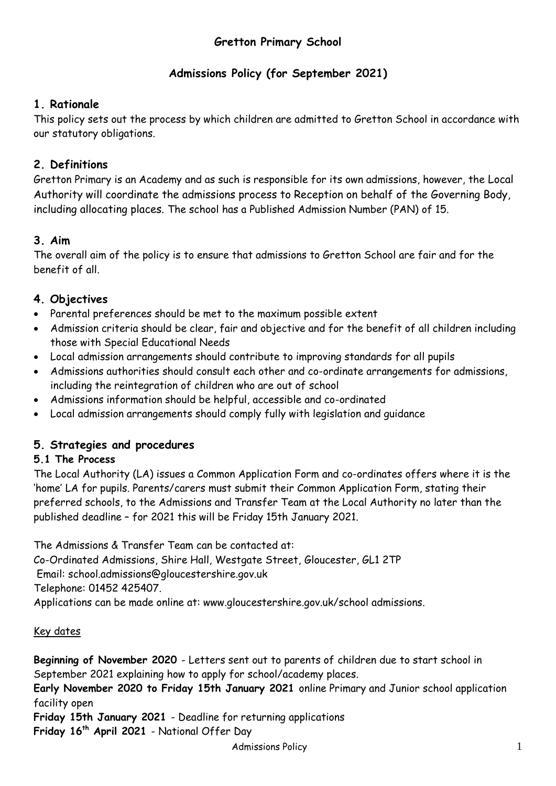# **Gretton Primary School**

# **Admissions Policy (for September 2021)**

# **1. Rationale**

This policy sets out the process by which children are admitted to Gretton School in accordance with our statutory obligations.

# **2. Definitions**

Gretton Primary is an Academy and as such is responsible for its own admissions, however, the Local Authority will coordinate the admissions process to Reception on behalf of the Governing Body, including allocating places. The school has a Published Admission Number (PAN) of 15.

# **3. Aim**

The overall aim of the policy is to ensure that admissions to Gretton School are fair and for the benefit of all.

# **4. Objectives**

- Parental preferences should be met to the maximum possible extent
- Admission criteria should be clear, fair and objective and for the benefit of all children including those with Special Educational Needs
- Local admission arrangements should contribute to improving standards for all pupils
- Admissions authorities should consult each other and co-ordinate arrangements for admissions, including the reintegration of children who are out of school
- Admissions information should be helpful, accessible and co-ordinated
- Local admission arrangements should comply fully with legislation and guidance

## **5. Strategies and procedures**

## **5.1 The Process**

The Local Authority (LA) issues a Common Application Form and co-ordinates offers where it is the 'home' LA for pupils. Parents/carers must submit their Common Application Form, stating their preferred schools, to the Admissions and Transfer Team at the Local Authority no later than the published deadline – for 2021 this will be Friday 15th January 2021.

The Admissions & Transfer Team can be contacted at: Co-Ordinated Admissions, Shire Hall, Westgate Street, Gloucester, GL1 2TP

Email: school.admissions@gloucestershire.gov.uk

Telephone: 01452 425407.

Applications can be made online at: www.gloucestershire.gov.uk/school admissions.

## Key dates

**Beginning of November 2020** - Letters sent out to parents of children due to start school in September 2021 explaining how to apply for school/academy places.

**Early November 2020 to Friday 15th January 2021** online Primary and Junior school application facility open

**Friday 15th January 2021** - Deadline for returning applications **Friday 16th April 2021** - National Offer Day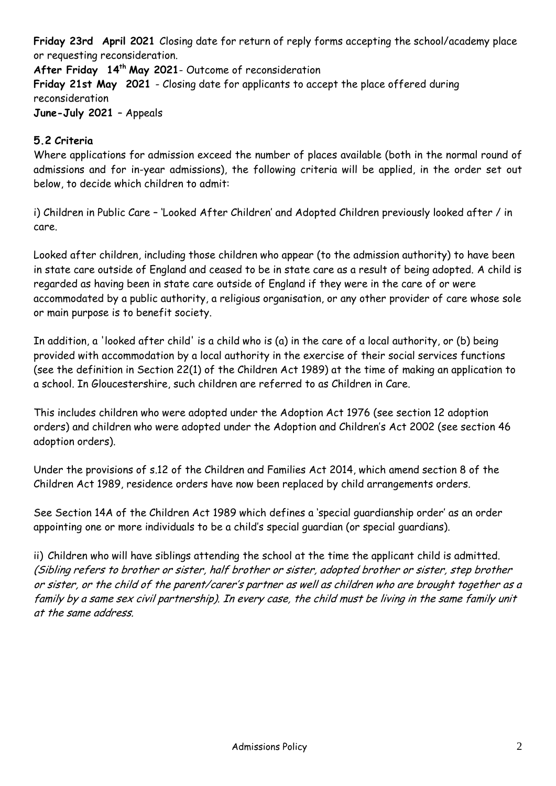**Friday 23rd April 2021** Closing date for return of reply forms accepting the school/academy place or requesting reconsideration.

**After Friday 14 th May 2021**- Outcome of reconsideration **Friday 21st May 2021** - Closing date for applicants to accept the place offered during reconsideration **June-July 2021** – Appeals

## **5.2 Criteria**

Where applications for admission exceed the number of places available (both in the normal round of admissions and for in-year admissions), the following criteria will be applied, in the order set out below, to decide which children to admit:

i) Children in Public Care – 'Looked After Children' and Adopted Children previously looked after / in care.

Looked after children, including those children who appear (to the admission authority) to have been in state care outside of England and ceased to be in state care as a result of being adopted. A child is regarded as having been in state care outside of England if they were in the care of or were accommodated by a public authority, a religious organisation, or any other provider of care whose sole or main purpose is to benefit society.

In addition, a 'looked after child' is a child who is (a) in the care of a local authority, or (b) being provided with accommodation by a local authority in the exercise of their social services functions (see the definition in Section 22(1) of the Children Act 1989) at the time of making an application to a school. In Gloucestershire, such children are referred to as Children in Care.

This includes children who were adopted under the Adoption Act 1976 (see section 12 adoption orders) and children who were adopted under the Adoption and Children's Act 2002 (see section 46 adoption orders).

Under the provisions of s.12 of the Children and Families Act 2014, which amend section 8 of the Children Act 1989, residence orders have now been replaced by child arrangements orders.

See Section 14A of the Children Act 1989 which defines a 'special guardianship order' as an order appointing one or more individuals to be a child's special guardian (or special guardians).

ii) Children who will have siblings attending the school at the time the applicant child is admitted. (Sibling refers to brother or sister, half brother or sister, adopted brother or sister, step brother or sister, or the child of the parent/carer's partner as well as children who are brought together as a family by a same sex civil partnership). In every case, the child must be living in the same family unit at the same address.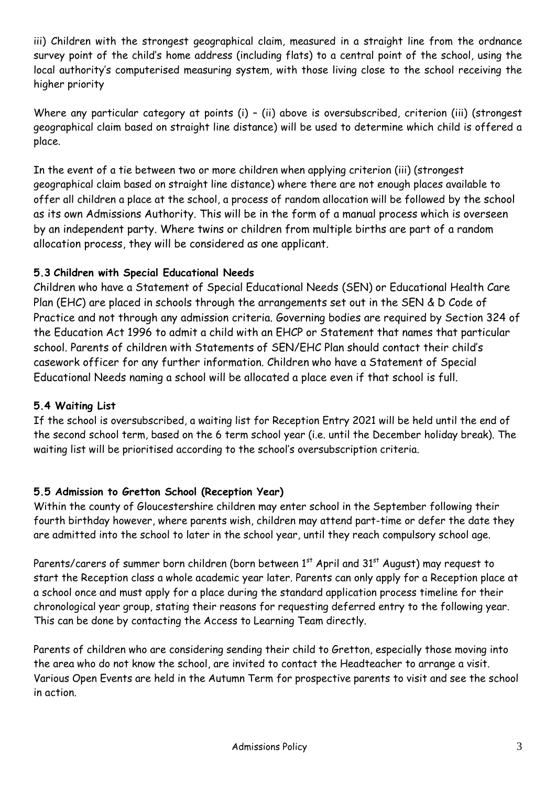iii) Children with the strongest geographical claim, measured in a straight line from the ordnance survey point of the child's home address (including flats) to a central point of the school, using the local authority's computerised measuring system, with those living close to the school receiving the higher priority

Where any particular category at points (i) - (ii) above is oversubscribed, criterion (iii) (strongest geographical claim based on straight line distance) will be used to determine which child is offered a place.

In the event of a tie between two or more children when applying criterion (iii) (strongest geographical claim based on straight line distance) where there are not enough places available to offer all children a place at the school, a process of random allocation will be followed by the school as its own Admissions Authority. This will be in the form of a manual process which is overseen by an independent party. Where twins or children from multiple births are part of a random allocation process, they will be considered as one applicant.

# **5.3 Children with Special Educational Needs**

Children who have a Statement of Special Educational Needs (SEN) or Educational Health Care Plan (EHC) are placed in schools through the arrangements set out in the SEN & D Code of Practice and not through any admission criteria. Governing bodies are required by Section 324 of the Education Act 1996 to admit a child with an EHCP or Statement that names that particular school. Parents of children with Statements of SEN/EHC Plan should contact their child's casework officer for any further information. Children who have a Statement of Special Educational Needs naming a school will be allocated a place even if that school is full.

## **5.4 Waiting List**

If the school is oversubscribed, a waiting list for Reception Entry 2021 will be held until the end of the second school term, based on the 6 term school year (i.e. until the December holiday break). The waiting list will be prioritised according to the school's oversubscription criteria.

## **5.5 Admission to Gretton School (Reception Year)**

Within the county of Gloucestershire children may enter school in the September following their fourth birthday however, where parents wish, children may attend part-time or defer the date they are admitted into the school to later in the school year, until they reach compulsory school age.

Parents/carers of summer born children (born between  $1<sup>st</sup>$  April and  $31<sup>st</sup>$  August) may request to start the Reception class a whole academic year later. Parents can only apply for a Reception place at a school once and must apply for a place during the standard application process timeline for their chronological year group, stating their reasons for requesting deferred entry to the following year. This can be done by contacting the Access to Learning Team directly.

Parents of children who are considering sending their child to Gretton, especially those moving into the area who do not know the school, are invited to contact the Headteacher to arrange a visit. Various Open Events are held in the Autumn Term for prospective parents to visit and see the school in action.